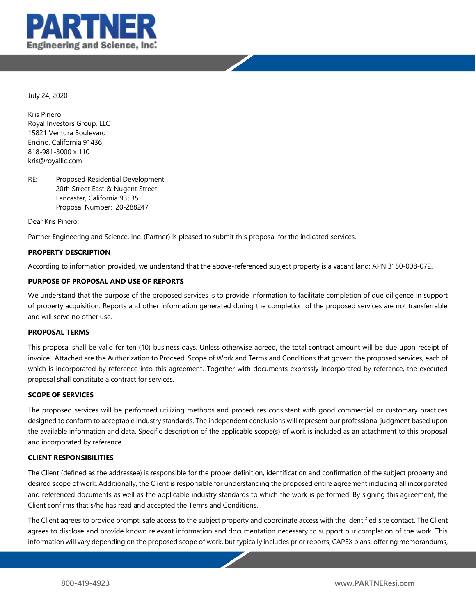



Kris Pinero Royal Investors Group, LLC 15821 Ventura Boulevard Encino, California 91436 818-981-3000 x 110 kris@royalllc.com

RE: Proposed Residential Development 20th Street East & Nugent Street Lancaster, California 93535 Proposal Number:20-288247

Dear Kris Pinero:

Partner Engineering and Science, Inc. (Partner) is pleased to submit this proposal for the indicated services.

#### **PROPERTY DESCRIPTION**

According to information provided, we understand that the above-referenced subject property is a vacant land; APN 3150-008-072.

#### **PURPOSE OF PROPOSAL AND USE OF REPORTS**

We understand that the purpose of the proposed services is to provide information to facilitate completion of due diligence in support of property acquisition. Reports and other information generated during the completion of the proposed services are not transferrable and will serve no other use.

#### **PROPOSAL TERMS**

This proposal shall be valid for ten (10) business days. Unless otherwise agreed, the total contract amount will be due upon receipt of invoice. Attached are the Authorization to Proceed, Scope of Work and Terms and Conditions that govern the proposed services, each of which is incorporated by reference into this agreement. Together with documents expressly incorporated by reference, the executed proposal shall constitute a contract for services.

#### **SCOPE OF SERVICES**

The proposed services will be performed utilizing methods and procedures consistent with good commercial or customary practices designed to conform to acceptable industry standards. The independent conclusions will represent our professional judgment based upon the available information and data. Specific description of the applicable scope(s) of work is included as an attachment to this proposal and incorporated by reference.

#### **CLIENT RESPONSIBILITIES**

The Client (defined as the addressee) is responsible for the proper definition, identification and confirmation of the subject property and desired scope of work. Additionally, the Client is responsible for understanding the proposed entire agreement including all incorporated and referenced documents as well as the applicable industry standards to which the work is performed. By signing this agreement, the Client confirms that s/he has read and accepted the Terms and Conditions.

The Client agrees to provide prompt, safe access to the subject property and coordinate access with the identified site contact. The Client agrees to disclose and provide known relevant information and documentation necessary to support our completion of the work. This information will vary depending on the proposed scope of work, but typically includes prior reports, CAPEX plans, offering memorandums,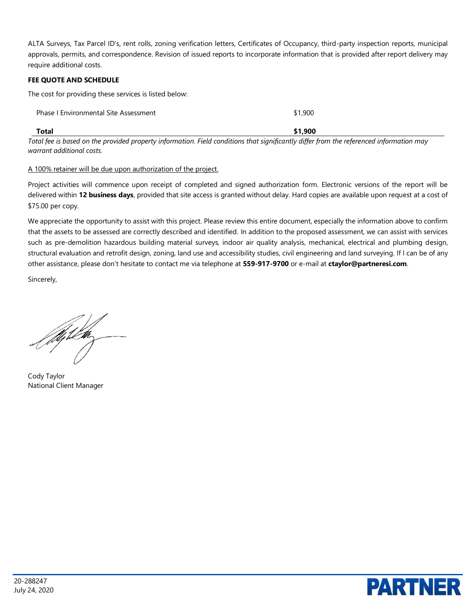ALTA Surveys, Tax Parcel ID's, rent rolls, zoning verification letters, Certificates of Occupancy, third-party inspection reports, municipal approvals, permits, and correspondence. Revision of issued reports to incorporate information that is provided after report delivery may require additional costs.

#### **FEE QUOTE AND SCHEDULE**

The cost for providing these services is listed below:

| Total                                        | \$1.900 |
|----------------------------------------------|---------|
| <b>Phase I Environmental Site Assessment</b> | \$1,900 |

*Total fee is based on the provided property information. Field conditions that significantly differ from the referenced information may warrant additional costs.*

#### A 100% retainer will be due upon authorization of the project.

Project activities will commence upon receipt of completed and signed authorization form. Electronic versions of the report will be delivered within **12 business days**, provided that site access is granted without delay. Hard copies are available upon request at a cost of \$75.00 per copy.

We appreciate the opportunity to assist with this project. Please review this entire document, especially the information above to confirm that the assets to be assessed are correctly described and identified. In addition to the proposed assessment, we can assist with services such as pre-demolition hazardous building material surveys, indoor air quality analysis, mechanical, electrical and plumbing design, structural evaluation and retrofit design, zoning, land use and accessibility studies, civil engineering and land surveying. If I can be of any other assistance, please don't hesitate to contact me via telephone at **559-917-9700** or e-mail at **ctaylor@partneresi.com**.

Sincerely,

filiplar<br>|

Cody Taylor National Client Manager

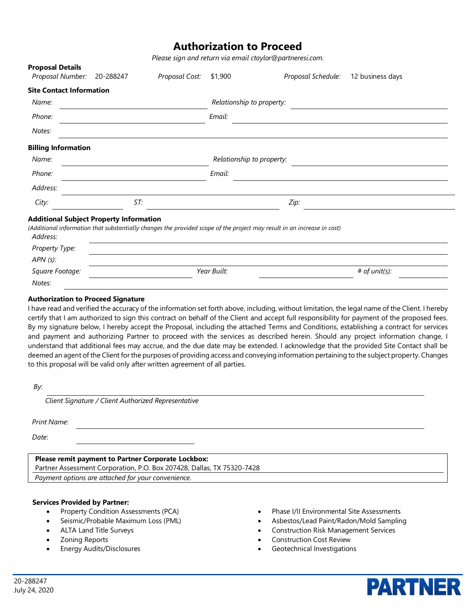### **Authorization to Proceed**

*Please sign and return via email ctaylor@partneresi.com.*

| Proposai Detaiis<br>Proposal Number:                       | 20-288247                 | Proposal Cost: | \$1,900 | Proposal Schedule:                                                                                                      | 12 business days |  |
|------------------------------------------------------------|---------------------------|----------------|---------|-------------------------------------------------------------------------------------------------------------------------|------------------|--|
| <b>Site Contact Information</b>                            |                           |                |         |                                                                                                                         |                  |  |
| Name:                                                      |                           |                |         | Relationship to property:                                                                                               |                  |  |
| Phone:                                                     | Email:                    |                |         |                                                                                                                         |                  |  |
| Notes:                                                     |                           |                |         |                                                                                                                         |                  |  |
| <b>Billing Information</b>                                 |                           |                |         |                                                                                                                         |                  |  |
| Name:                                                      | Relationship to property: |                |         |                                                                                                                         |                  |  |
| Phone:                                                     | Email:                    |                |         |                                                                                                                         |                  |  |
| Address:                                                   |                           |                |         |                                                                                                                         |                  |  |
| City:                                                      | ST:<br>Zip:               |                |         |                                                                                                                         |                  |  |
| <b>Additional Subject Property Information</b><br>Address: |                           |                |         | (Additional information that substantially changes the provided scope of the project may result in an increase in cost) |                  |  |
| Property Type:                                             |                           |                |         |                                                                                                                         |                  |  |
| APN (s):                                                   |                           |                |         |                                                                                                                         |                  |  |
| Square Footage:                                            | Year Built:               |                |         |                                                                                                                         | # of unit(s):    |  |
| Notes:                                                     |                           |                |         |                                                                                                                         |                  |  |

#### **Authorization to Proceed Signature**

**Proposal Details** 

I have read and verified the accuracy of the information set forth above, including, without limitation, the legal name of the Client. I hereby certify that I am authorized to sign this contract on behalf of the Client and accept full responsibility for payment of the proposed fees. By my signature below, I hereby accept the Proposal, including the attached Terms and Conditions, establishing a contract for services and payment and authorizing Partner to proceed with the services as described herein. Should any project information change, I understand that additional fees may accrue, and the due date may be extended. I acknowledge that the provided Site Contact shall be deemed an agent of the Client for the purposes of providing access and conveying information pertaining to the subject property. Changes to this proposal will be valid only after written agreement of all parties.

*By*:

*Client Signature / Client Authorized Representative*

*Print Name*:

*Date*:

#### **Please remit payment to Partner Corporate Lockbox:**

Partner Assessment Corporation, P.O. Box 207428, Dallas, TX 75320-7428

*Payment options are attached for your convenience.* 

#### **Services Provided by Partner:**

- Property Condition Assessments (PCA)
- Seismic/Probable Maximum Loss (PML)
- ALTA Land Title Surveys
- Zoning Reports
- Energy Audits/Disclosures
- Phase I/II Environmental Site Assessments
- Asbestos/Lead Paint/Radon/Mold Sampling

**PARTNER** 

- Construction Risk Management Services
- Construction Cost Review
- Geotechnical Investigations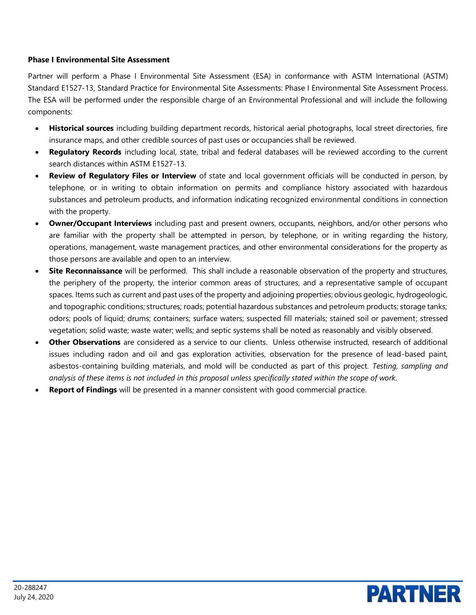#### **Phase I Environmental Site Assessment**

Partner will perform a Phase I Environmental Site Assessment (ESA) in conformance with ASTM International (ASTM) Standard E1527-13, Standard Practice for Environmental Site Assessments: Phase I Environmental Site Assessment Process. The ESA will be performed under the responsible charge of an Environmental Professional and will include the following components:

- **Historical sources** including building department records, historical aerial photographs, local street directories, fire insurance maps, and other credible sources of past uses or occupancies shall be reviewed.
- **Regulatory Records** including local, state, tribal and federal databases will be reviewed according to the current search distances within ASTM E1527-13.
- **Review of Regulatory Files or Interview** of state and local government officials will be conducted in person, by telephone, or in writing to obtain information on permits and compliance history associated with hazardous substances and petroleum products, and information indicating recognized environmental conditions in connection with the property.
- **Owner/Occupant Interviews** including past and present owners, occupants, neighbors, and/or other persons who are familiar with the property shall be attempted in person, by telephone, or in writing regarding the history, operations, management, waste management practices, and other environmental considerations for the property as those persons are available and open to an interview.
- **Site Reconnaissance** will be performed. This shall include a reasonable observation of the property and structures, the periphery of the property, the interior common areas of structures, and a representative sample of occupant spaces. Items such as current and past uses of the property and adjoining properties; obvious geologic, hydrogeologic, and topographic conditions; structures; roads; potential hazardous substances and petroleum products; storage tanks; odors; pools of liquid; drums; containers; surface waters; suspected fill materials; stained soil or pavement; stressed vegetation; solid waste; waste water; wells; and septic systems shall be noted as reasonably and visibly observed.
- **Other Observations** are considered as a service to our clients. Unless otherwise instructed, research of additional issues including radon and oil and gas exploration activities, observation for the presence of lead-based paint, asbestos-containing building materials, and mold will be conducted as part of this project. *Testing, sampling and analysis of these items is not included in this proposal unless specifically stated within the scope of work.*
- **Report of Findings** will be presented in a manner consistent with good commercial practice.

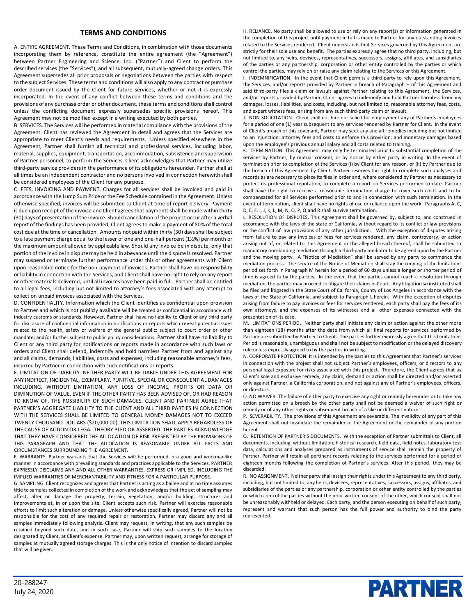#### **TERMS AND CONDITIONS**

A. ENTIRE AGREEMENT. These Terms and Conditions, in combination with those documents incorporating them by reference, constitute the entire agreement (the "Agreement") between Partner Engineering and Science, Inc. ("Partner") and Client to perform the described services (the "Services"), and all subsequent, mutually-agreed change orders. This Agreement supersedes all prior proposals or negotiations between the parties with respect to the subject Services. These terms and conditions will also apply to any contract or purchase order document issued by the Client for future services, whether or not it is expressly incorporated. In the event of any conflict between these terms and conditions and the provisions of any purchase order or other document, these terms and conditions shall control unless the conflicting document expressly supersedes specific provisions hereof. This Agreement may not be modified except in a writing executed by both parties.

B. SERVICES. The Services will be performed in material compliance with the provisions of the Agreement. Client has reviewed the Agreement in detail and agrees that the Services are appropriate to meet Client's needs and requirements. Unless specified elsewhere in the Agreement, Partner shall furnish all technical and professional services, including labor, material, supplies, equipment, transportation, accommodation, subsistence and supervision of Partner personnel, to perform the Services. Client acknowledges that Partner may utilize third-party service providers in the performance of its obligations hereunder. Partner shall at all times be an independent contractor and no persons involved in connection herewith shall be considered employees of the Client for any purpose.

C. FEES, INVOICING AND PAYMENT. Charges for all services shall be invoiced and paid in accordance with the Lump Sum Price or the Fee Schedule contained in the Agreement. Unless otherwise specified, invoices will be submitted to Client at time of report delivery. Payment is due upon receipt of the invoice and Client agrees that payments shall be made within thirty (30) days of presentation of the invoice. Should cancellation of the project occur after a verbal report of the findings has been provided, Client agrees to make a payment of 80% of the total cost due at the time of cancellation. Amounts not paid within thirty (30) days shall be subject to a late payment charge equal to the lesser of one and one-half percent (1½%) per month or the maximum amount allowed by applicable law. Should any invoice be in dispute, only that portion of the invoice in dispute may be held in abeyance until the dispute is resolved. Partner may suspend or terminate further performance under this or other agreements with Client upon reasonable notice for the non-payment of invoices. Partner shall have no responsibility or liability in connection with the Services, and Client shall have no right to rely on any report or other materials delivered, until all invoices have been paid in full. Partner shall be entitled to all legal fees, including but not limited to attorney's fees associated with any attempt to collect on unpaid invoices associated with the Services.

D. CONFIDENTIALITY. Information which the Client identifies as confidential upon provision to Partner and which is not publicly available will be treated as confidential in accordance with industry customs or standards. However, Partner shall have no liability to Client or any third party for disclosure of confidential information in notifications or reports which reveal potential issues related to the health, safety or welfare of the general public; subject to court order or other mandate; and/or further subject to public policy considerations. Partner shall have no liability to Client or any third party for notifications or reports made in accordance with such laws or orders and Client shall defend, indemnify and hold harmless Partner from and against any and all claims, demands, liabilities, costs and expenses, including reasonable attorney's fees, incurred by Partner in connection with such notifications or reports.

E. LIMITATION OF LIABILITY. NEITHER PARTY WILL BE LIABLE UNDER THIS AGREEMENT FOR ANY INDIRECT, INCIDENTAL, EXEMPLARY, PUNITIVE, SPECIAL OR CONSEQUENTIAL DAMAGES INCLUDING, WITHOUT LIMITATION, ANY LOSS OF INCOME, PROFITS OR DATA OR DIMINUTION OF VALUE, EVEN IF THE OTHER PARTY HAS BEEN ADVISED OF, OR HAD REASON TO KNOW OF, THE POSSIBILITY OF SUCH DAMAGES. CLIENT AND PARTNER AGREE THAT PARTNER'S AGGREGATE LIABILITY TO THE CLIENT AND ALL THIRD PARTIES IN CONNECTION WITH THE SERVICES SHALL BE LIMITED TO GENERAL MONEY DAMAGES NOT TO EXCEED TWENTY THOUSAND DOLLARS (\$20,000.00). THIS LIMITATION SHALL APPLY REGARDLESS OF THE CAUSE OF ACTION OR LEGAL THEORY PLED OR ASSERTED. THE PARTIES ACKNOWLEDGE THAT THEY HAVE CONSIDERED THE ALLOCATION OF RISK PRESENTED BY THE PROVISIONS OF THIS PARAGRAPH AND THAT THE ALLOCATION IS REASONABLE UNDER ALL FACTS AND CIRCUMSTANCES SURROUNDING THE AGREEMENT.

F. WARRANTY. Partner warrants that the Services will be performed in a good and workmanlike manner in accordance with prevailing standards and practices applicable to the Services. PARTNER EXPRESSLY DISCLAIMS ANY AND ALL OTHER WARRANTIES, EXPRESS OR IMPLIED, INCLUDING THE IMPLIED WARRANTIES OF MERCHANTABILITY AND FITNESS FOR A PARTICULAR PURPOSE.

G. SAMPLING. Client recognizes and agrees that Partner is acting as a bailee and at no time assumes title to samples collected in completion of the work and acknowledges that the act of sampling may affect, alter or damage the property, terrain, vegetation, and/or building, structures and improvements at, in or upon the site. Client accepts such risk. Partner will exercise reasonable efforts to limit such alteration or damage. Unless otherwise specifically agreed, Partner will not be responsible for the cost of any required repair or restoration. Partner may discard any and all samples immediately following analysis. Client may request, in writing, that any such samples be retained beyond such date, and in such case, Partner will ship such samples to the location designated by Client, at Client's expense. Partner may, upon written request, arrange for storage of samples at mutually agreed storage charges. This is the only notice of intention to discard samples that will be given.

H. RELIANCE. No party shall be allowed to use or rely on any report(s) or information generated in the completion of this project until payment in full is made to Partner for any outstanding invoices related to the Services rendered. Client understands that Services governed by this Agreement are strictly for their sole use and benefit. The parties expressly agree that no third party, including, but not limited to, any heirs, devisees, representatives, successors, assigns, affiliates, and subsidiaries of the parties or any partnership, corporation or other entity controlled by the parties or which control the parties, may rely on or raise any claim relating to the Services or this Agreement.

I. INDEMNIFICATION. In the event that Client permits a third-party to rely upon this Agreement, the Services, and/or reports provided by Partner in breach of Paragraph H of this Agreement and said third-party files a claim or lawsuit against Partner relating to this Agreement, the Services, and/or reports provided by Partner, Client agrees to indemnify and hold Partner harmless from any damages, losses, liabilities, and costs, including, but not limited to, reasonable attorney fees, costs, and expert witness fees, arising from any such third-party claim or lawsuit.

J. NON-SOLICITATION. Client shall not hire nor solicit for employment any of Partner's employees for a period of one (1) year subsequent to any services rendered by Partner for Client. In the event of Client's breach of this covenant, Partner may seek any and all remedies including but not limited to an injunction; attorney fees and costs to enforce this provision; and monetary damages based upon the employee's previous annual salary and all costs related to training.

K. TERMINATION. This Agreement may only be terminated prior to substantial completion of the services by Partner, by mutual consent, or by notice by either party in writing. In the event of termination prior to completion of the Services (i) by Client for any reason, or (ii) by Partner due to the breach of this Agreement by Client, Partner reserves the right to complete such analyses and records as are necessary to place its files in order and, where considered by Partner as necessary to protect its professional reputation, to complete a report on Services performed to date. Partner shall have the right to receive a reasonable termination charge to cover such costs and to be compensated for all Services performed prior to and in connection with such termination. In the event of termination, client shall have no rights of use or reliance upon the work. Paragraphs A, C, D, E, F, I, J, K, L, M, N, O, P, Q and R shall survive termination.

L. RESOLUTION OF DISPUTES. This Agreement shall be governed by, subject to, and construed in accordance with the laws of the state of California, without regard to its conflict of law provisions or the conflict of law provisions of any other jurisdiction. With the exception of disputes arising from failure to pay any invoices or fees for services rendered, any claim, controversy, or action arising out of, or related to, this Agreement or the alleged breach thereof, shall be submitted to mandatory non-binding mediation through a third-party mediator to be agreed upon by the Partner and the moving party. A "Notice of Mediation" shall be served by any party to commence the mediation process. The service of the Notice of Mediation shall stay the running of the limitations period set forth in Paragraph M herein for a period of 60 days unless a longer or shorter period of time is agreed to by the parties. In the event that the parties cannot reach a resolution through mediation, the parties may proceed to litigate their claims in Court. Any litigation so instituted shall be filed and litigated in the State Court of California, County of Los Angeles in accordance with the laws of the State of California, and subject to Paragraph L herein. With the exception of disputes arising from failure to pay invoices or fees for services rendered, each party shall pay the fees of its own attorneys, and the expenses of its witnesses and all other expenses connected with the presentation of its case.

M. LIMITATIONS PERIOD. Neither party shall initiate any claim or action against the other more than eighteen (18) months after the date from which all final reports for services performed by Partner are submitted by Partner to Client. The parties further expressly agree that this Limitations Period is reasonable, unambiguous and shall not be subject to modification or the delayed discovery rule unless expressly agreed to by the parties in writing.

N. CORPORATE PROTECTION. It is intended by the parties to this Agreement that Partner's services in connection with the project shall not subject Partner's employees, officers, or directors to any personal legal exposure for risks associated with this project. Therefore, the Client agrees that as Client's sole and exclusive remedy, any claim, demand or action shall be directed and/or asserted only against Partner, a California corporation, and not against any of Partner's employees, officers, or directors.

O. NO WAIVER. The failure of either party to exercise any right or remedy hereunder or to take any action permitted on a breach by the other party shall not be deemed a waiver of such right or remedy or of any other rights or subsequent breach of a like or different nature.

P. SEVERABILITY. The provisions of this Agreement are severable. The invalidity of any part of this Agreement shall not invalidate the remainder of the Agreement or the remainder of any portion hereof.

Q. RETENTION OF PARTNER'S DOCUMENTS. With the exception of Partner submittals to Client, all documents, including, without limitation, historical research, field data, field notes, laboratory test data, calculations and analyses prepared as instruments of service shall remain the property of Partner. Partner will retain all pertinent records relating to the services performed for a period of eighteen months following the completion of Partner's services. After this period, they may be discarded.

R. NO ASSIGNMENT. Neither party shall assign their rights under this Agreement to any third party, including, but not limited to, any heirs, devisees, representatives, successors, assigns, affiliates, and subsidiaries of the parties or any partnership, corporation or other entity controlled by the parties or which control the parties without the prior written consent of the other, which consent shall not be unreasonably withheld or delayed. Each party, and the person executing on behalf of such party, represent and warrant that such person has the full power and authority to bind the party represented.